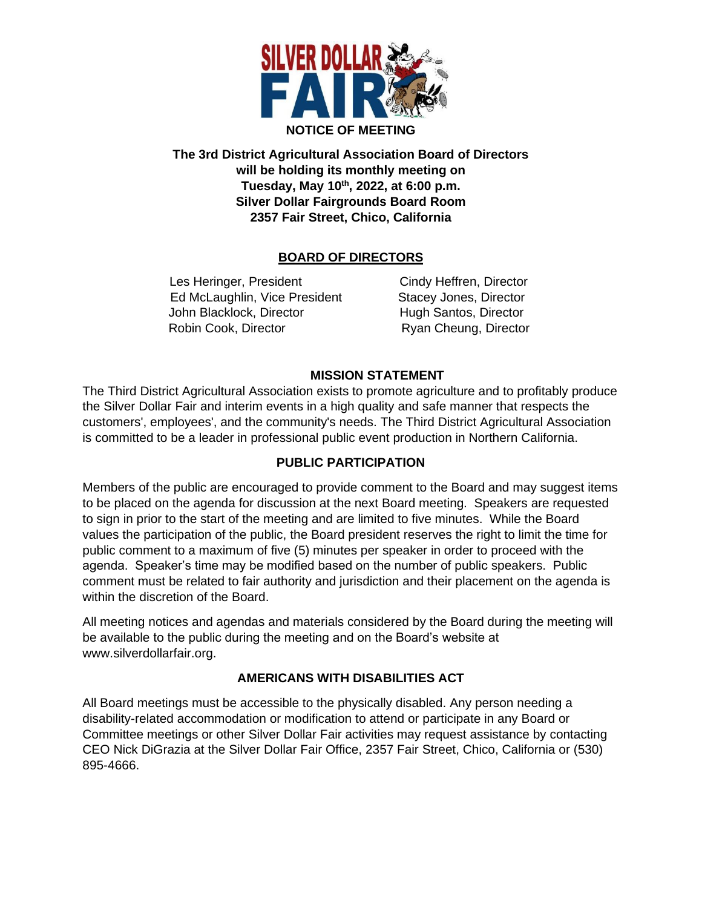

**The 3rd District Agricultural Association Board of Directors will be holding its monthly meeting on Tuesday, May 10 th , 2022, at 6:00 p.m. Silver Dollar Fairgrounds Board Room 2357 Fair Street, Chico, California**

## **BOARD OF DIRECTORS**

Les Heringer, President Cindy Heffren, Director Ed McLaughlin, Vice President Stacey Jones, Director John Blacklock, Director **Hugh Santos, Director** Robin Cook, Director Ryan Cheung, Director

### **MISSION STATEMENT**

The Third District Agricultural Association exists to promote agriculture and to profitably produce the Silver Dollar Fair and interim events in a high quality and safe manner that respects the customers', employees', and the community's needs. The Third District Agricultural Association is committed to be a leader in professional public event production in Northern California.

### **PUBLIC PARTICIPATION**

Members of the public are encouraged to provide comment to the Board and may suggest items to be placed on the agenda for discussion at the next Board meeting. Speakers are requested to sign in prior to the start of the meeting and are limited to five minutes. While the Board values the participation of the public, the Board president reserves the right to limit the time for public comment to a maximum of five (5) minutes per speaker in order to proceed with the agenda. Speaker's time may be modified based on the number of public speakers. Public comment must be related to fair authority and jurisdiction and their placement on the agenda is within the discretion of the Board.

All meeting notices and agendas and materials considered by the Board during the meeting will be available to the public during the meeting and on the Board's website at www.silverdollarfair.org.

### **AMERICANS WITH DISABILITIES ACT**

All Board meetings must be accessible to the physically disabled. Any person needing a disability-related accommodation or modification to attend or participate in any Board or Committee meetings or other Silver Dollar Fair activities may request assistance by contacting CEO Nick DiGrazia at the Silver Dollar Fair Office, 2357 Fair Street, Chico, California or (530) 895-4666.